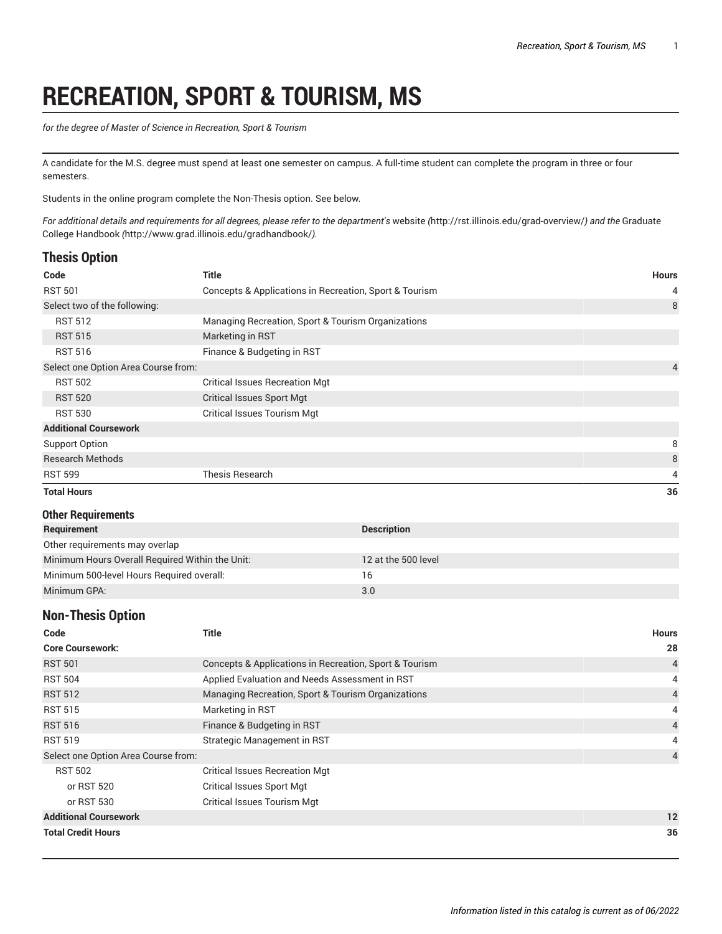# **RECREATION, SPORT & TOURISM, MS**

*for the degree of Master of Science in Recreation, Sport & Tourism*

A candidate for the M.S. degree must spend at least one semester on campus. A full-time student can complete the program in three or four semesters.

Students in the online program complete the Non-Thesis option. See below.

For additional details and requirements for all degrees, please refer to the department's [website](http://rst.illinois.edu/grad-overview/) (<http://rst.illinois.edu/grad-overview/>) and the [Graduate](http://www.grad.illinois.edu/gradhandbook/) [College Handbook](http://www.grad.illinois.edu/gradhandbook/) *(*<http://www.grad.illinois.edu/gradhandbook/>*).*

## **Thesis Option**

| Code                                | Title                                                  | <b>Hours</b>   |
|-------------------------------------|--------------------------------------------------------|----------------|
| <b>RST 501</b>                      | Concepts & Applications in Recreation, Sport & Tourism | 4              |
| Select two of the following:        |                                                        | 8              |
| <b>RST 512</b>                      | Managing Recreation, Sport & Tourism Organizations     |                |
| <b>RST 515</b>                      | Marketing in RST                                       |                |
| <b>RST 516</b>                      | Finance & Budgeting in RST                             |                |
| Select one Option Area Course from: |                                                        | $\overline{4}$ |
| <b>RST 502</b>                      | <b>Critical Issues Recreation Mgt</b>                  |                |
| <b>RST 520</b>                      | <b>Critical Issues Sport Mgt</b>                       |                |
| <b>RST 530</b>                      | <b>Critical Issues Tourism Mgt</b>                     |                |
| <b>Additional Coursework</b>        |                                                        |                |
| Support Option                      |                                                        | 8              |
| <b>Research Methods</b>             |                                                        | 8              |
| <b>RST 599</b>                      | <b>Thesis Research</b>                                 | 4              |
| <b>Total Hours</b>                  |                                                        | 36             |

#### **Other Requirements**

| Requirement                                     | <b>Description</b>  |
|-------------------------------------------------|---------------------|
| Other requirements may overlap                  |                     |
| Minimum Hours Overall Required Within the Unit: | 12 at the 500 level |
| Minimum 500-level Hours Required overall:       | 16                  |
| Minimum GPA:                                    | 3.0                 |

## **Non-Thesis Option**

| Code                                | Title                                                  | <b>Hours</b>   |
|-------------------------------------|--------------------------------------------------------|----------------|
| <b>Core Coursework:</b>             |                                                        | 28             |
| <b>RST 501</b>                      | Concepts & Applications in Recreation, Sport & Tourism | $\overline{4}$ |
| <b>RST 504</b>                      | Applied Evaluation and Needs Assessment in RST         | 4              |
| <b>RST 512</b>                      | Managing Recreation, Sport & Tourism Organizations     | $\overline{4}$ |
| <b>RST 515</b>                      | Marketing in RST                                       | 4              |
| <b>RST 516</b>                      | Finance & Budgeting in RST                             | $\overline{4}$ |
| <b>RST 519</b>                      | Strategic Management in RST                            | 4              |
| Select one Option Area Course from: |                                                        | 4              |
| <b>RST 502</b>                      | <b>Critical Issues Recreation Mgt</b>                  |                |
| or RST 520                          | <b>Critical Issues Sport Mgt</b>                       |                |
| or RST 530                          | <b>Critical Issues Tourism Mgt</b>                     |                |
| <b>Additional Coursework</b>        |                                                        | 12             |
| <b>Total Credit Hours</b>           |                                                        | 36             |